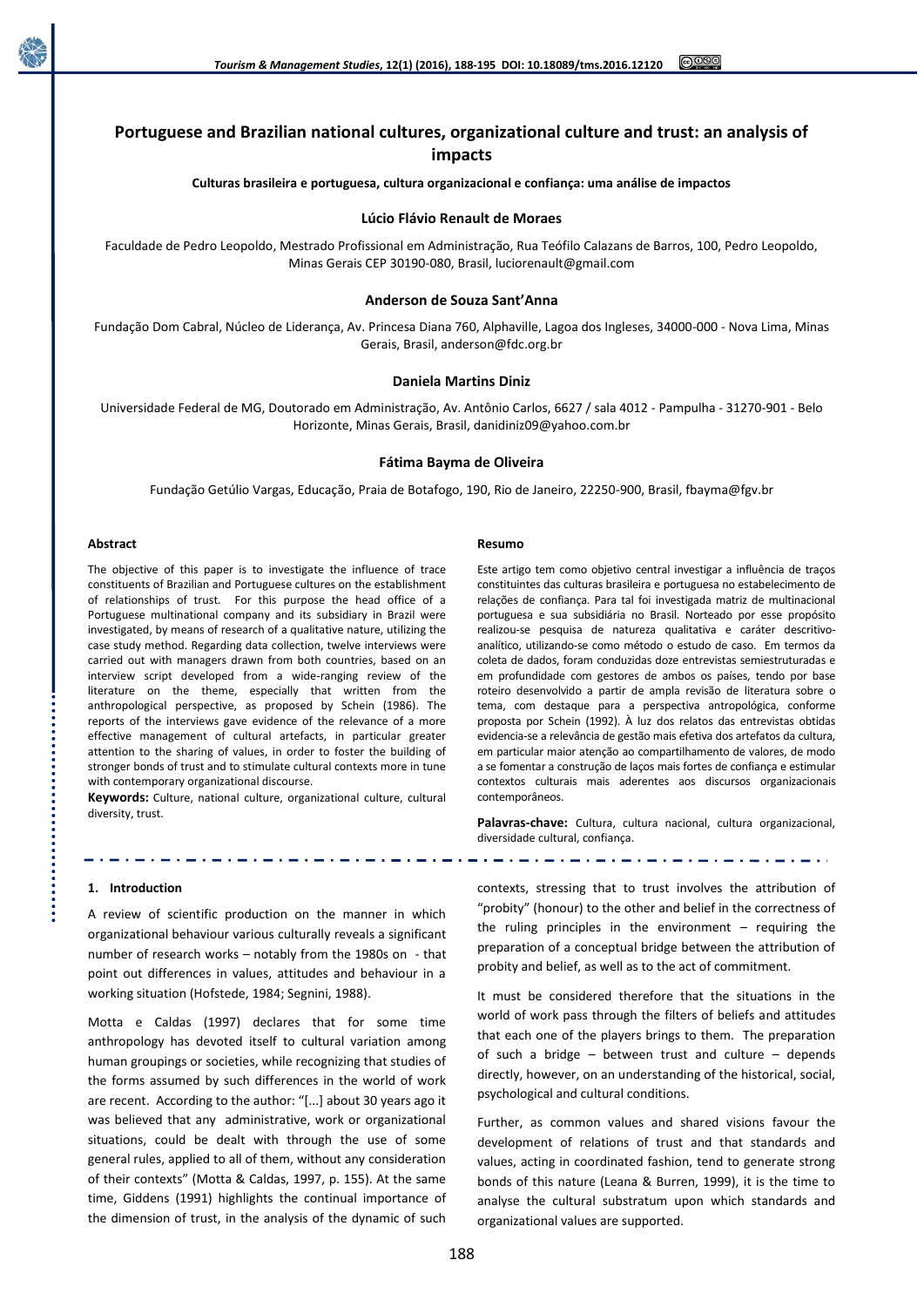

# **Portuguese and Brazilian national cultures, organizational culture and trust: an analysis of impacts**

**Culturas brasileira e portuguesa, cultura organizacional e confiança: uma análise de impactos**

## **Lúcio Flávio Renault de Moraes**

Faculdade de Pedro Leopoldo, Mestrado Profissional em Administração, Rua Teófilo Calazans de Barros, 100, Pedro Leopoldo, Minas Gerais CEP 30190-080, Brasil, luciorenault@gmail.com

## **Anderson de Souza Sant'Anna**

Fundação Dom Cabral, Núcleo de Liderança, Av. Princesa Diana 760, Alphaville, Lagoa dos Ingleses, 34000-000 - Nova Lima, Minas Gerais, Brasil, anderson@fdc.org.br

#### **Daniela Martins Diniz**

Universidade Federal de MG, Doutorado em Administração, Av. Antônio Carlos, 6627 / sala 4012 - Pampulha - 31270-901 - Belo Horizonte, Minas Gerais, Brasil, danidiniz09@yahoo.com.br

### **Fátima Bayma de Oliveira**

Fundação Getúlio Vargas, Educação, Praia de Botafogo, 190, Rio de Janeiro, 22250-900, Brasil, fbayma@fgv.br

#### **Abstract**

The objective of this paper is to investigate the influence of trace constituents of Brazilian and Portuguese cultures on the establishment of relationships of trust. For this purpose the head office of a Portuguese multinational company and its subsidiary in Brazil were investigated, by means of research of a qualitative nature, utilizing the case study method. Regarding data collection, twelve interviews were carried out with managers drawn from both countries, based on an interview script developed from a wide-ranging review of the literature on the theme, especially that written from the anthropological perspective, as proposed by Schein (1986). The reports of the interviews gave evidence of the relevance of a more effective management of cultural artefacts, in particular greater attention to the sharing of values, in order to foster the building of stronger bonds of trust and to stimulate cultural contexts more in tune with contemporary organizational discourse.

**Keywords:** Culture, national culture, organizational culture, cultural diversity, trust.

#### **1. Introduction**

A review of scientific production on the manner in which organizational behaviour various culturally reveals a significant number of research works – notably from the 1980s on - that point out differences in values, attitudes and behaviour in a working situation (Hofstede, 1984; Segnini, 1988).

Motta e Caldas (1997) declares that for some time anthropology has devoted itself to cultural variation among human groupings or societies, while recognizing that studies of the forms assumed by such differences in the world of work are recent. According to the author: "[...] about 30 years ago it was believed that any administrative, work or organizational situations, could be dealt with through the use of some general rules, applied to all of them, without any consideration of their contexts" (Motta & Caldas, 1997, p. 155). At the same time, Giddens (1991) highlights the continual importance of the dimension of trust, in the analysis of the dynamic of such

#### **Resumo**

Este artigo tem como objetivo central investigar a influência de traços constituintes das culturas brasileira e portuguesa no estabelecimento de relações de confiança. Para tal foi investigada matriz de multinacional portuguesa e sua subsidiária no Brasil. Norteado por esse propósito realizou-se pesquisa de natureza qualitativa e caráter descritivoanalítico, utilizando-se como método o estudo de caso. Em termos da coleta de dados, foram conduzidas doze entrevistas semiestruturadas e em profundidade com gestores de ambos os países, tendo por base roteiro desenvolvido a partir de ampla revisão de literatura sobre o tema, com destaque para a perspectiva antropológica, conforme proposta por Schein (1992). À luz dos relatos das entrevistas obtidas evidencia-se a relevância de gestão mais efetiva dos artefatos da cultura, em particular maior atenção ao compartilhamento de valores, de modo a se fomentar a construção de laços mais fortes de confiança e estimular contextos culturais mais aderentes aos discursos organizacionais contemporâneos.

**Palavras-chave:** Cultura, cultura nacional, cultura organizacional, diversidade cultural, confiança.

contexts, stressing that to trust involves the attribution of "probity" (honour) to the other and belief in the correctness of the ruling principles in the environment – requiring the preparation of a conceptual bridge between the attribution of probity and belief, as well as to the act of commitment.

It must be considered therefore that the situations in the world of work pass through the filters of beliefs and attitudes that each one of the players brings to them. The preparation of such a bridge – between trust and culture – depends directly, however, on an understanding of the historical, social, psychological and cultural conditions.

Further, as common values and shared visions favour the development of relations of trust and that standards and values, acting in coordinated fashion, tend to generate strong bonds of this nature (Leana & Burren, 1999), it is the time to analyse the cultural substratum upon which standards and organizational values are supported.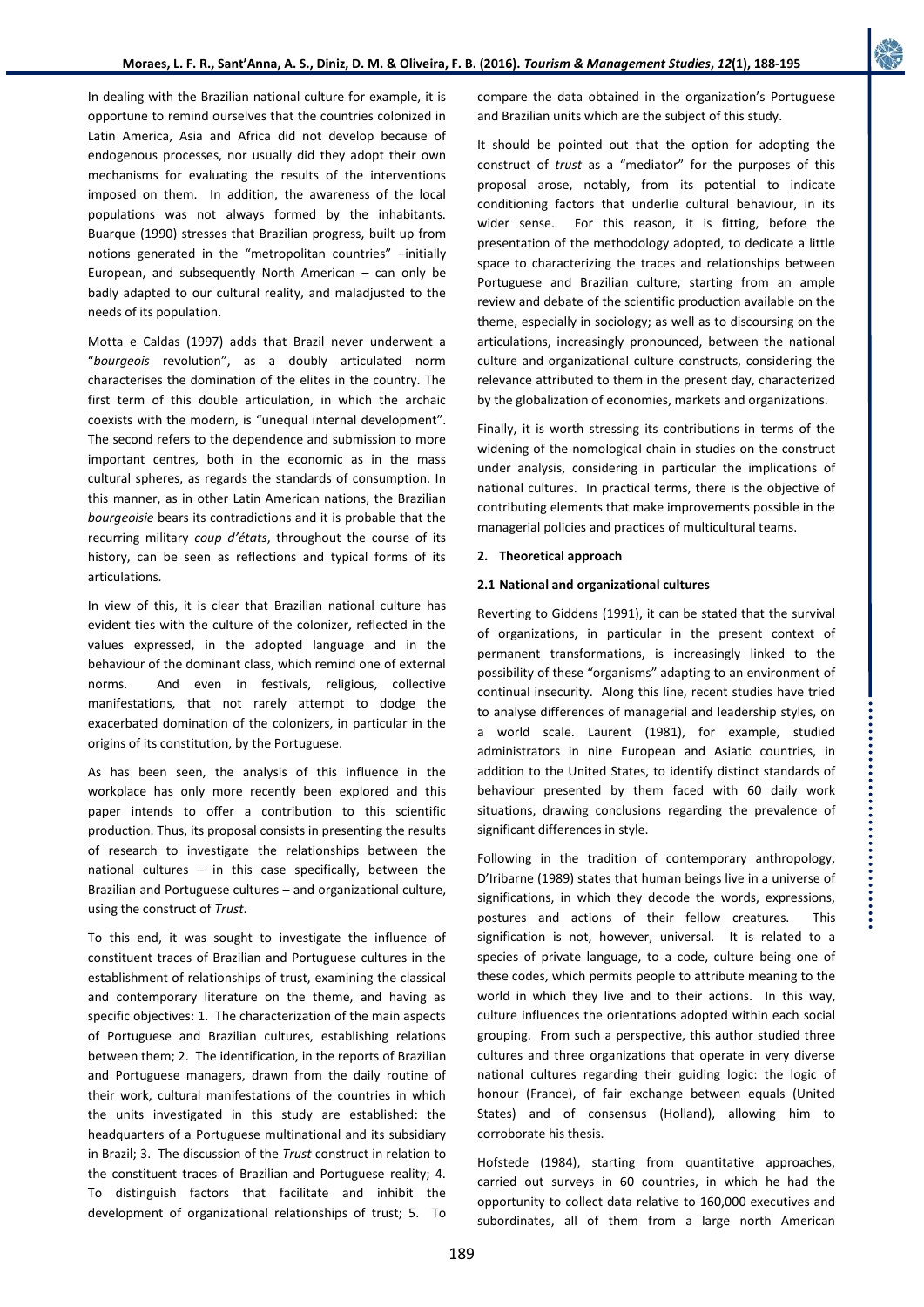In dealing with the Brazilian national culture for example, it is opportune to remind ourselves that the countries colonized in Latin America, Asia and Africa did not develop because of endogenous processes, nor usually did they adopt their own mechanisms for evaluating the results of the interventions imposed on them. In addition, the awareness of the local populations was not always formed by the inhabitants. Buarque (1990) stresses that Brazilian progress, built up from notions generated in the "metropolitan countries" -initially European, and subsequently North American – can only be badly adapted to our cultural reality, and maladjusted to the needs of its population.

Motta e Caldas (1997) adds that Brazil never underwent a "*bourgeois* revolution", as a doubly articulated norm characterises the domination of the elites in the country. The first term of this double articulation, in which the archaic coexists with the modern, is "unequal internal development". The second refers to the dependence and submission to more important centres, both in the economic as in the mass cultural spheres, as regards the standards of consumption. In this manner, as in other Latin American nations, the Brazilian *bourgeoisie* bears its contradictions and it is probable that the recurring military *coup d'états*, throughout the course of its history, can be seen as reflections and typical forms of its articulations.

In view of this, it is clear that Brazilian national culture has evident ties with the culture of the colonizer, reflected in the values expressed, in the adopted language and in the behaviour of the dominant class, which remind one of external norms. And even in festivals, religious, collective manifestations, that not rarely attempt to dodge the exacerbated domination of the colonizers, in particular in the origins of its constitution, by the Portuguese.

As has been seen, the analysis of this influence in the workplace has only more recently been explored and this paper intends to offer a contribution to this scientific production. Thus, its proposal consists in presenting the results of research to investigate the relationships between the national cultures  $-$  in this case specifically, between the Brazilian and Portuguese cultures – and organizational culture, using the construct of *Trust*.

To this end, it was sought to investigate the influence of constituent traces of Brazilian and Portuguese cultures in the establishment of relationships of trust, examining the classical and contemporary literature on the theme, and having as specific objectives: 1. The characterization of the main aspects of Portuguese and Brazilian cultures, establishing relations between them; 2. The identification, in the reports of Brazilian and Portuguese managers, drawn from the daily routine of their work, cultural manifestations of the countries in which the units investigated in this study are established: the headquarters of a Portuguese multinational and its subsidiary in Brazil; 3. The discussion of the *Trust* construct in relation to the constituent traces of Brazilian and Portuguese reality; 4. To distinguish factors that facilitate and inhibit the development of organizational relationships of trust; 5. To compare the data obtained in the organization's Portuguese and Brazilian units which are the subject of this study.

It should be pointed out that the option for adopting the construct of *trust* as a "mediator" for the purposes of this proposal arose, notably, from its potential to indicate conditioning factors that underlie cultural behaviour, in its wider sense. For this reason, it is fitting, before the presentation of the methodology adopted, to dedicate a little space to characterizing the traces and relationships between Portuguese and Brazilian culture, starting from an ample review and debate of the scientific production available on the theme, especially in sociology; as well as to discoursing on the articulations, increasingly pronounced, between the national culture and organizational culture constructs, considering the relevance attributed to them in the present day, characterized by the globalization of economies, markets and organizations.

Finally, it is worth stressing its contributions in terms of the widening of the nomological chain in studies on the construct under analysis, considering in particular the implications of national cultures. In practical terms, there is the objective of contributing elements that make improvements possible in the managerial policies and practices of multicultural teams.

## **2. Theoretical approach**

### **2.1 National and organizational cultures**

Reverting to Giddens (1991), it can be stated that the survival of organizations, in particular in the present context of permanent transformations, is increasingly linked to the possibility of these "organisms" adapting to an environment of continual insecurity. Along this line, recent studies have tried to analyse differences of managerial and leadership styles, on a world scale. Laurent (1981), for example, studied administrators in nine European and Asiatic countries, in addition to the United States, to identify distinct standards of behaviour presented by them faced with 60 daily work situations, drawing conclusions regarding the prevalence of significant differences in style.

..................................

Following in the tradition of contemporary anthropology, D'Iribarne (1989) states that human beings live in a universe of significations, in which they decode the words, expressions, postures and actions of their fellow creatures. This signification is not, however, universal. It is related to a species of private language, to a code, culture being one of these codes, which permits people to attribute meaning to the world in which they live and to their actions. In this way, culture influences the orientations adopted within each social grouping. From such a perspective, this author studied three cultures and three organizations that operate in very diverse national cultures regarding their guiding logic: the logic of honour (France), of fair exchange between equals (United States) and of consensus (Holland), allowing him to corroborate his thesis.

Hofstede (1984), starting from quantitative approaches, carried out surveys in 60 countries, in which he had the opportunity to collect data relative to 160,000 executives and subordinates, all of them from a large north American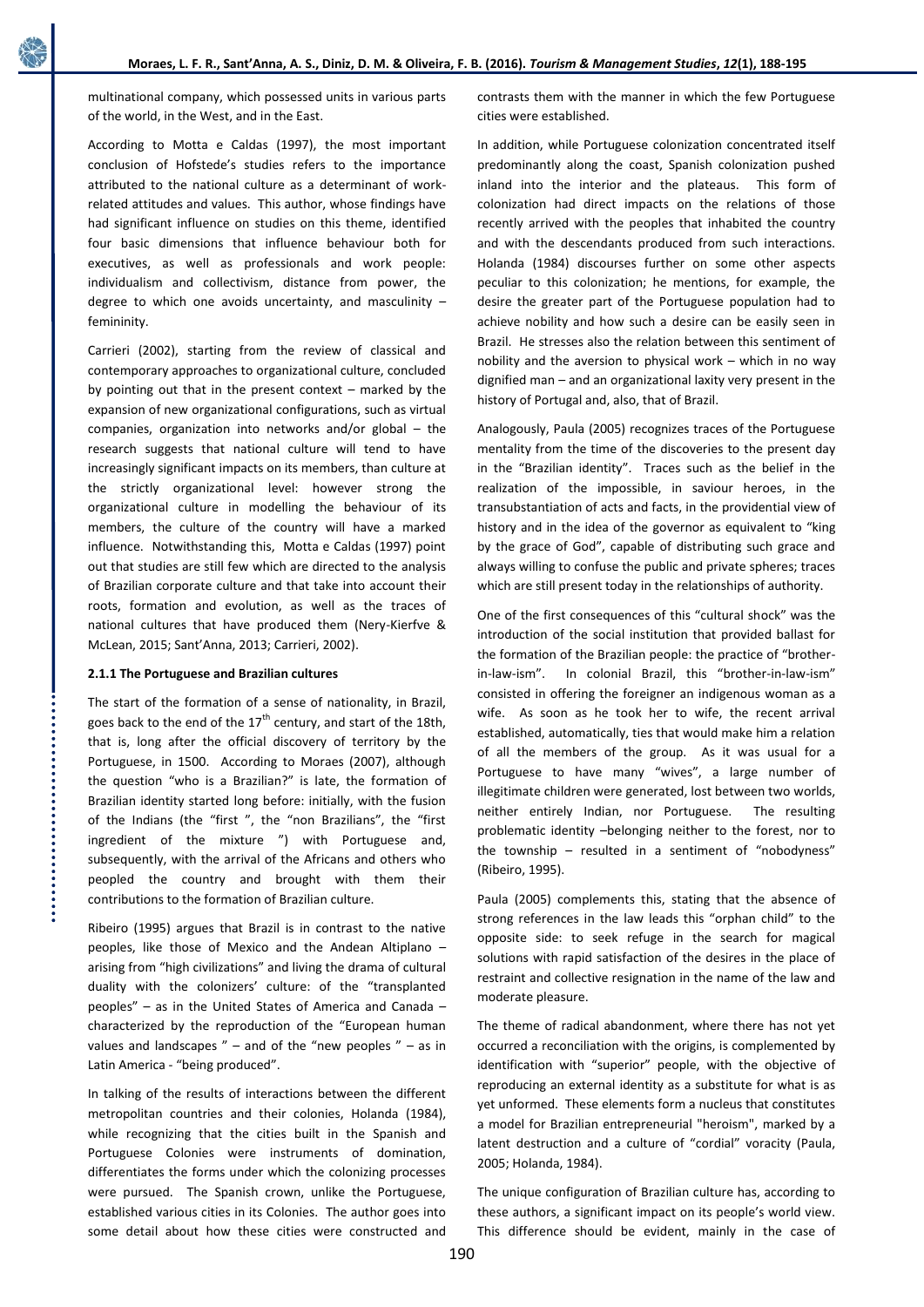multinational company, which possessed units in various parts of the world, in the West, and in the East.

According to Motta e Caldas (1997), the most important conclusion of Hofstede's studies refers to the importance attributed to the national culture as a determinant of workrelated attitudes and values. This author, whose findings have had significant influence on studies on this theme, identified four basic dimensions that influence behaviour both for executives, as well as professionals and work people: individualism and collectivism, distance from power, the degree to which one avoids uncertainty, and masculinity – femininity.

Carrieri (2002), starting from the review of classical and contemporary approaches to organizational culture, concluded by pointing out that in the present context – marked by the expansion of new organizational configurations, such as virtual companies, organization into networks and/or global – the research suggests that national culture will tend to have increasingly significant impacts on its members, than culture at the strictly organizational level: however strong the organizational culture in modelling the behaviour of its members, the culture of the country will have a marked influence. Notwithstanding this, Motta e Caldas (1997) point out that studies are still few which are directed to the analysis of Brazilian corporate culture and that take into account their roots, formation and evolution, as well as the traces of national cultures that have produced them (Nery-Kierfve & McLean, 2015; Sant'Anna, 2013; Carrieri, 2002).

## **2.1.1 The Portuguese and Brazilian cultures**

The start of the formation of a sense of nationality, in Brazil, goes back to the end of the  $17<sup>th</sup>$  century, and start of the 18th, that is, long after the official discovery of territory by the Portuguese, in 1500. According to Moraes (2007), although the question "who is a Brazilian?" is late, the formation of Brazilian identity started long before: initially, with the fusion of the Indians (the "first ", the "non Brazilians", the "first ingredient of the mixture ") with Portuguese and, subsequently, with the arrival of the Africans and others who peopled the country and brought with them their contributions to the formation of Brazilian culture.

Ribeiro (1995) argues that Brazil is in contrast to the native peoples, like those of Mexico and the Andean Altiplano – arising from "high civilizations" and living the drama of cultural duality with the colonizers' culture: of the "transplanted peoples" – as in the United States of America and Canada – characterized by the reproduction of the "European human values and landscapes  $"$  – and of the "new peoples  $"$  – as in Latin America - "being produced".

In talking of the results of interactions between the different metropolitan countries and their colonies, Holanda (1984), while recognizing that the cities built in the Spanish and Portuguese Colonies were instruments of domination, differentiates the forms under which the colonizing processes were pursued. The Spanish crown, unlike the Portuguese, established various cities in its Colonies. The author goes into some detail about how these cities were constructed and

contrasts them with the manner in which the few Portuguese cities were established.

In addition, while Portuguese colonization concentrated itself predominantly along the coast, Spanish colonization pushed inland into the interior and the plateaus. This form of colonization had direct impacts on the relations of those recently arrived with the peoples that inhabited the country and with the descendants produced from such interactions. Holanda (1984) discourses further on some other aspects peculiar to this colonization; he mentions, for example, the desire the greater part of the Portuguese population had to achieve nobility and how such a desire can be easily seen in Brazil. He stresses also the relation between this sentiment of nobility and the aversion to physical work – which in no way dignified man – and an organizational laxity very present in the history of Portugal and, also, that of Brazil.

Analogously, Paula (2005) recognizes traces of the Portuguese mentality from the time of the discoveries to the present day in the "Brazilian identity". Traces such as the belief in the realization of the impossible, in saviour heroes, in the transubstantiation of acts and facts, in the providential view of history and in the idea of the governor as equivalent to "king by the grace of God", capable of distributing such grace and always willing to confuse the public and private spheres; traces which are still present today in the relationships of authority.

One of the first consequences of this "cultural shock" was the introduction of the social institution that provided ballast for the formation of the Brazilian people: the practice of "brotherin-law-ism". In colonial Brazil, this "brother-in-law-ism" consisted in offering the foreigner an indigenous woman as a wife. As soon as he took her to wife, the recent arrival established, automatically, ties that would make him a relation of all the members of the group. As it was usual for a Portuguese to have many "wives", a large number of illegitimate children were generated, lost between two worlds, neither entirely Indian, nor Portuguese. The resulting problematic identity –belonging neither to the forest, nor to the township – resulted in a sentiment of "nobodyness" (Ribeiro, 1995).

Paula (2005) complements this, stating that the absence of strong references in the law leads this "orphan child" to the opposite side: to seek refuge in the search for magical solutions with rapid satisfaction of the desires in the place of restraint and collective resignation in the name of the law and moderate pleasure.

The theme of radical abandonment, where there has not yet occurred a reconciliation with the origins, is complemented by identification with "superior" people, with the objective of reproducing an external identity as a substitute for what is as yet unformed. These elements form a nucleus that constitutes a model for Brazilian entrepreneurial "heroism", marked by a latent destruction and a culture of "cordial" voracity (Paula, 2005; Holanda, 1984).

The unique configuration of Brazilian culture has, according to these authors, a significant impact on its people's world view. This difference should be evident, mainly in the case of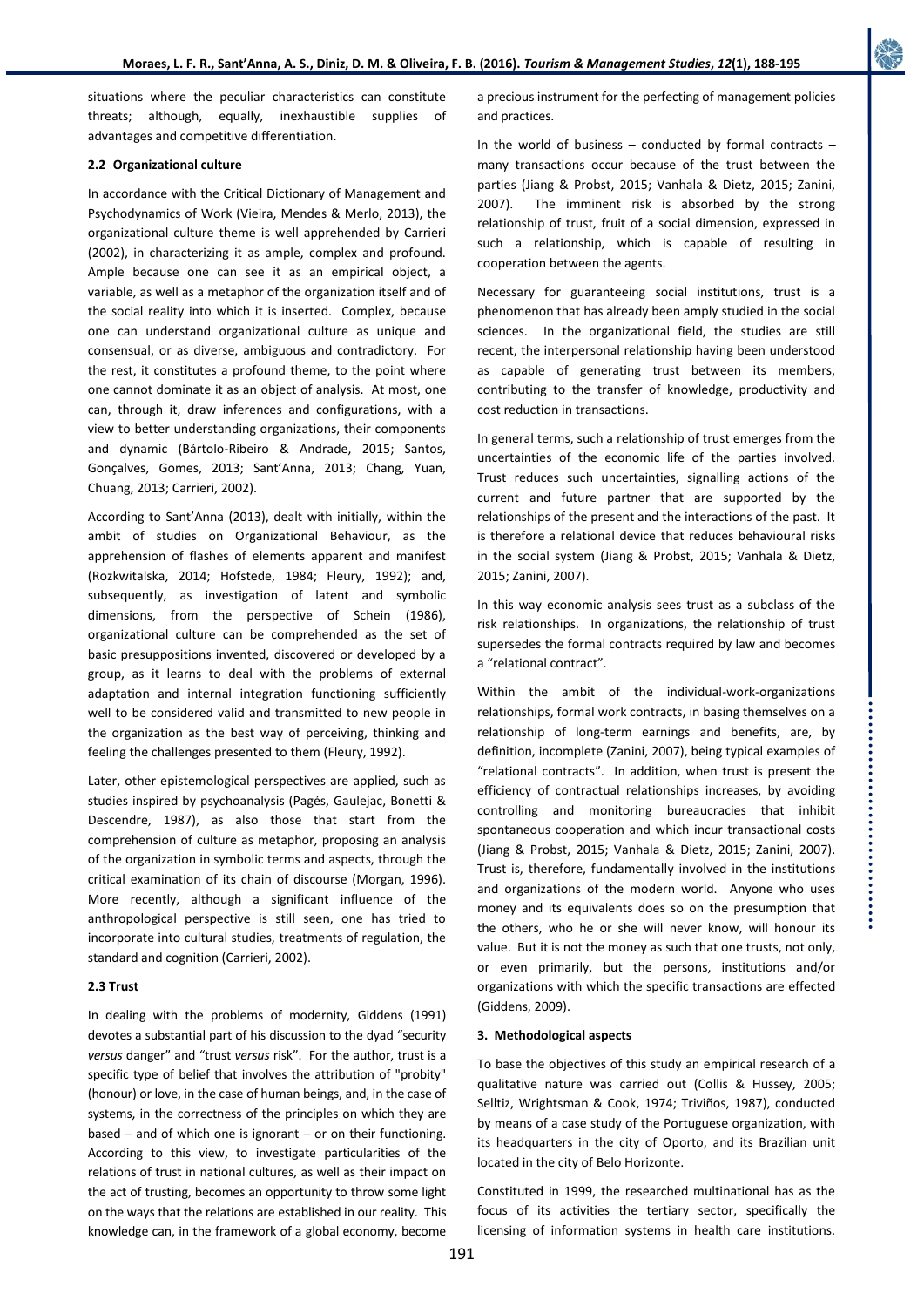situations where the peculiar characteristics can constitute threats; although, equally, inexhaustible supplies of advantages and competitive differentiation.

## **2.2 Organizational culture**

In accordance with the Critical Dictionary of Management and Psychodynamics of Work (Vieira, Mendes & Merlo, 2013), the organizational culture theme is well apprehended by Carrieri (2002), in characterizing it as ample, complex and profound. Ample because one can see it as an empirical object, a variable, as well as a metaphor of the organization itself and of the social reality into which it is inserted. Complex, because one can understand organizational culture as unique and consensual, or as diverse, ambiguous and contradictory. For the rest, it constitutes a profound theme, to the point where one cannot dominate it as an object of analysis. At most, one can, through it, draw inferences and configurations, with a view to better understanding organizations, their components and dynamic (Bártolo-Ribeiro & Andrade, 2015; Santos, Gonçalves, Gomes, 2013; Sant'Anna, 2013; Chang, Yuan, Chuang, 2013; Carrieri, 2002).

According to Sant'Anna (2013), dealt with initially, within the ambit of studies on Organizational Behaviour, as the apprehension of flashes of elements apparent and manifest (Rozkwitalska, 2014; Hofstede, 1984; Fleury, 1992); and, subsequently, as investigation of latent and symbolic dimensions, from the perspective of Schein (1986), organizational culture can be comprehended as the set of basic presuppositions invented, discovered or developed by a group, as it learns to deal with the problems of external adaptation and internal integration functioning sufficiently well to be considered valid and transmitted to new people in the organization as the best way of perceiving, thinking and feeling the challenges presented to them (Fleury, 1992).

Later, other epistemological perspectives are applied, such as studies inspired by psychoanalysis (Pagés, Gaulejac, Bonetti & Descendre, 1987), as also those that start from the comprehension of culture as metaphor, proposing an analysis of the organization in symbolic terms and aspects, through the critical examination of its chain of discourse (Morgan, 1996). More recently, although a significant influence of the anthropological perspective is still seen, one has tried to incorporate into cultural studies, treatments of regulation, the standard and cognition (Carrieri, 2002).

## **2.3 Trust**

In dealing with the problems of modernity, Giddens (1991) devotes a substantial part of his discussion to the dyad "security *versus* danger" and "trust *versus* risk". For the author, trust is a specific type of belief that involves the attribution of "probity" (honour) or love, in the case of human beings, and, in the case of systems, in the correctness of the principles on which they are based – and of which one is ignorant – or on their functioning. According to this view, to investigate particularities of the relations of trust in national cultures, as well as their impact on the act of trusting, becomes an opportunity to throw some light on the ways that the relations are established in our reality. This knowledge can, in the framework of a global economy, become

a precious instrument for the perfecting of management policies and practices.

In the world of business – conducted by formal contracts – many transactions occur because of the trust between the parties (Jiang & Probst, 2015; Vanhala & Dietz, 2015; Zanini, 2007). The imminent risk is absorbed by the strong relationship of trust, fruit of a social dimension, expressed in such a relationship, which is capable of resulting in cooperation between the agents.

Necessary for guaranteeing social institutions, trust is a phenomenon that has already been amply studied in the social sciences. In the organizational field, the studies are still recent, the interpersonal relationship having been understood as capable of generating trust between its members, contributing to the transfer of knowledge, productivity and cost reduction in transactions.

In general terms, such a relationship of trust emerges from the uncertainties of the economic life of the parties involved. Trust reduces such uncertainties, signalling actions of the current and future partner that are supported by the relationships of the present and the interactions of the past. It is therefore a relational device that reduces behavioural risks in the social system (Jiang & Probst, 2015; Vanhala & Dietz, 2015; Zanini, 2007).

In this way economic analysis sees trust as a subclass of the risk relationships. In organizations, the relationship of trust supersedes the formal contracts required by law and becomes a "relational contract".

Within the ambit of the individual-work-organizations relationships, formal work contracts, in basing themselves on a relationship of long-term earnings and benefits, are, by definition, incomplete (Zanini, 2007), being typical examples of "relational contracts". In addition, when trust is present the efficiency of contractual relationships increases, by avoiding controlling and monitoring bureaucracies that inhibit spontaneous cooperation and which incur transactional costs (Jiang & Probst, 2015; Vanhala & Dietz, 2015; Zanini, 2007). Trust is, therefore, fundamentally involved in the institutions and organizations of the modern world. Anyone who uses money and its equivalents does so on the presumption that the others, who he or she will never know, will honour its value. But it is not the money as such that one trusts, not only, or even primarily, but the persons, institutions and/or organizations with which the specific transactions are effected (Giddens, 2009).

.................................

## **3. Methodological aspects**

To base the objectives of this study an empirical research of a qualitative nature was carried out (Collis & Hussey, 2005; Selltiz, Wrightsman & Cook, 1974; Triviños, 1987), conducted by means of a case study of the Portuguese organization, with its headquarters in the city of Oporto, and its Brazilian unit located in the city of Belo Horizonte.

Constituted in 1999, the researched multinational has as the focus of its activities the tertiary sector, specifically the licensing of information systems in health care institutions.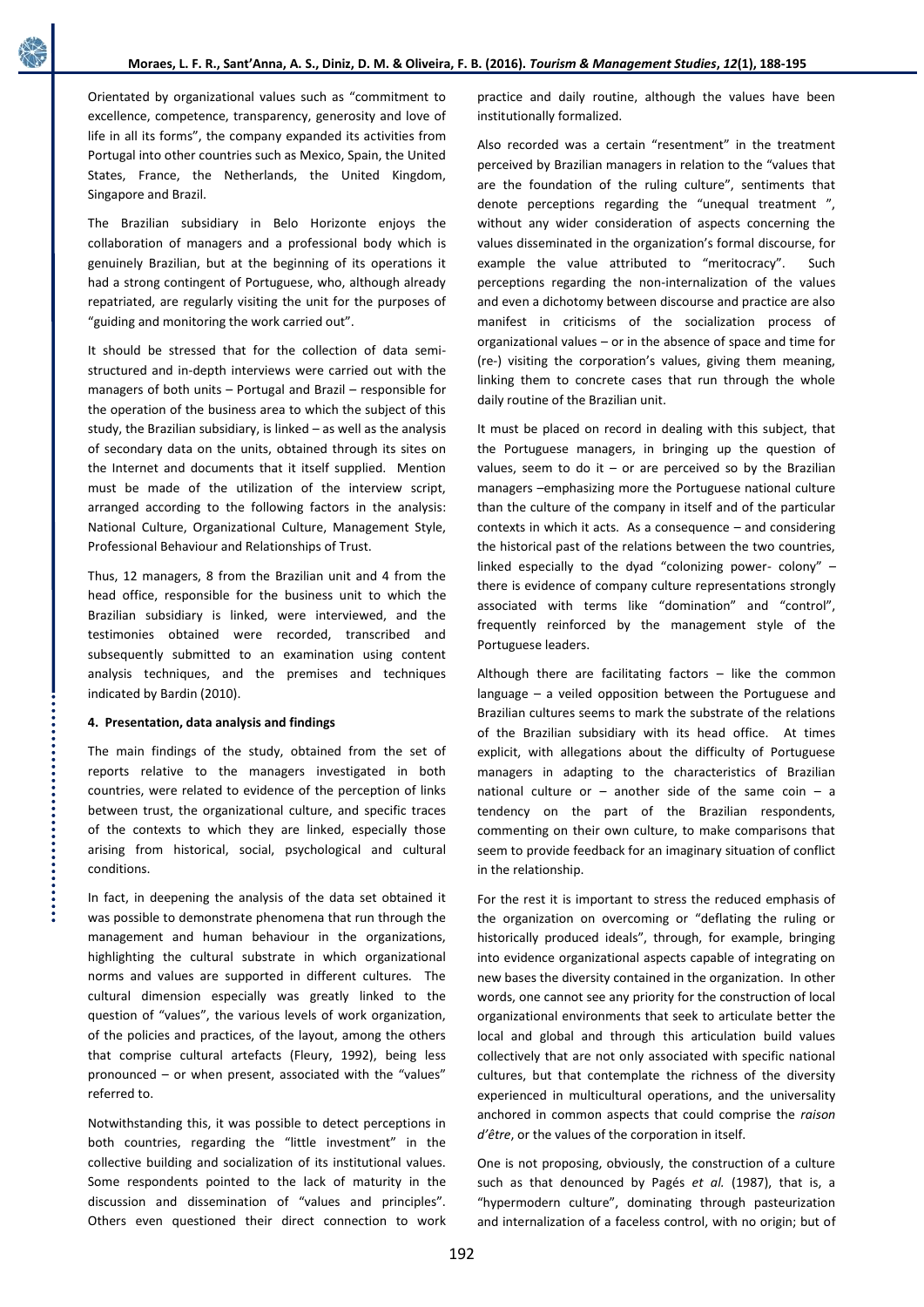Orientated by organizational values such as "commitment to excellence, competence, transparency, generosity and love of life in all its forms", the company expanded its activities from Portugal into other countries such as Mexico, Spain, the United States, France, the Netherlands, the United Kingdom, Singapore and Brazil.

The Brazilian subsidiary in Belo Horizonte enjoys the collaboration of managers and a professional body which is genuinely Brazilian, but at the beginning of its operations it had a strong contingent of Portuguese, who, although already repatriated, are regularly visiting the unit for the purposes of "guiding and monitoring the work carried out".

It should be stressed that for the collection of data semistructured and in-depth interviews were carried out with the managers of both units – Portugal and Brazil – responsible for the operation of the business area to which the subject of this study, the Brazilian subsidiary, is linked – as well as the analysis of secondary data on the units, obtained through its sites on the Internet and documents that it itself supplied. Mention must be made of the utilization of the interview script, arranged according to the following factors in the analysis: National Culture, Organizational Culture, Management Style, Professional Behaviour and Relationships of Trust.

Thus, 12 managers, 8 from the Brazilian unit and 4 from the head office, responsible for the business unit to which the Brazilian subsidiary is linked, were interviewed, and the testimonies obtained were recorded, transcribed and subsequently submitted to an examination using content analysis techniques, and the premises and techniques indicated by Bardin (2010).

## **4. Presentation, data analysis and findings**

The main findings of the study, obtained from the set of reports relative to the managers investigated in both countries, were related to evidence of the perception of links between trust, the organizational culture, and specific traces of the contexts to which they are linked, especially those arising from historical, social, psychological and cultural conditions.

In fact, in deepening the analysis of the data set obtained it was possible to demonstrate phenomena that run through the management and human behaviour in the organizations, highlighting the cultural substrate in which organizational norms and values are supported in different cultures. The cultural dimension especially was greatly linked to the question of "values", the various levels of work organization, of the policies and practices, of the layout, among the others that comprise cultural artefacts (Fleury, 1992), being less pronounced – or when present, associated with the "values" referred to.

Notwithstanding this, it was possible to detect perceptions in both countries, regarding the "little investment" in the collective building and socialization of its institutional values. Some respondents pointed to the lack of maturity in the discussion and dissemination of "values and principles". Others even questioned their direct connection to work practice and daily routine, although the values have been institutionally formalized.

Also recorded was a certain "resentment" in the treatment perceived by Brazilian managers in relation to the "values that are the foundation of the ruling culture", sentiments that denote perceptions regarding the "unequal treatment ", without any wider consideration of aspects concerning the values disseminated in the organization's formal discourse, for example the value attributed to "meritocracy". Such perceptions regarding the non-internalization of the values and even a dichotomy between discourse and practice are also manifest in criticisms of the socialization process of organizational values – or in the absence of space and time for (re-) visiting the corporation's values, giving them meaning, linking them to concrete cases that run through the whole daily routine of the Brazilian unit.

It must be placed on record in dealing with this subject, that the Portuguese managers, in bringing up the question of values, seem to do it  $-$  or are perceived so by the Brazilian managers –emphasizing more the Portuguese national culture than the culture of the company in itself and of the particular contexts in which it acts. As a consequence – and considering the historical past of the relations between the two countries, linked especially to the dyad "colonizing power- colony" – there is evidence of company culture representations strongly associated with terms like "domination" and "control", frequently reinforced by the management style of the Portuguese leaders.

Although there are facilitating factors – like the common language – a veiled opposition between the Portuguese and Brazilian cultures seems to mark the substrate of the relations of the Brazilian subsidiary with its head office. At times explicit, with allegations about the difficulty of Portuguese managers in adapting to the characteristics of Brazilian national culture or  $-$  another side of the same coin  $-$  a tendency on the part of the Brazilian respondents, commenting on their own culture, to make comparisons that seem to provide feedback for an imaginary situation of conflict in the relationship.

For the rest it is important to stress the reduced emphasis of the organization on overcoming or "deflating the ruling or historically produced ideals", through, for example, bringing into evidence organizational aspects capable of integrating on new bases the diversity contained in the organization. In other words, one cannot see any priority for the construction of local organizational environments that seek to articulate better the local and global and through this articulation build values collectively that are not only associated with specific national cultures, but that contemplate the richness of the diversity experienced in multicultural operations, and the universality anchored in common aspects that could comprise the *raison d'être*, or the values of the corporation in itself.

One is not proposing, obviously, the construction of a culture such as that denounced by Pagés *et al.* (1987), that is, a "hypermodern culture", dominating through pasteurization and internalization of a faceless control, with no origin; but of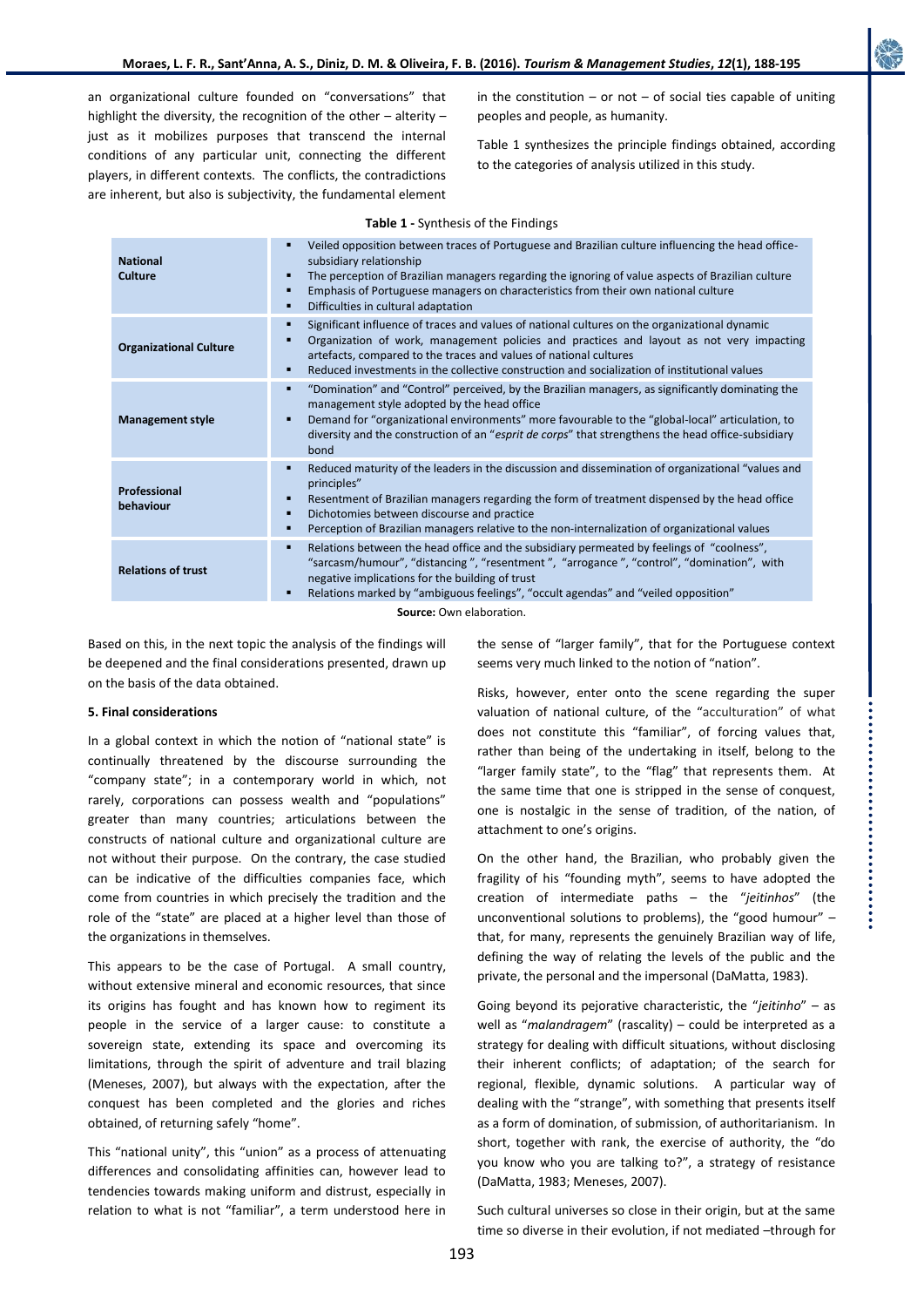an organizational culture founded on "conversations" that highlight the diversity, the recognition of the other – alterity – just as it mobilizes purposes that transcend the internal conditions of any particular unit, connecting the different players, in different contexts. The conflicts, the contradictions are inherent, but also is subjectivity, the fundamental element in the constitution – or not – of social ties capable of uniting peoples and people, as humanity.

Table 1 synthesizes the principle findings obtained, according to the categories of analysis utilized in this study.

| <b>National</b><br><b>Culture</b> | Veiled opposition between traces of Portuguese and Brazilian culture influencing the head office-<br>subsidiary relationship<br>The perception of Brazilian managers regarding the ignoring of value aspects of Brazilian culture<br>Emphasis of Portuguese managers on characteristics from their own national culture<br>Difficulties in cultural adaptation             |
|-----------------------------------|----------------------------------------------------------------------------------------------------------------------------------------------------------------------------------------------------------------------------------------------------------------------------------------------------------------------------------------------------------------------------|
| <b>Organizational Culture</b>     | Significant influence of traces and values of national cultures on the organizational dynamic<br>٠<br>Organization of work, management policies and practices and layout as not very impacting<br>artefacts, compared to the traces and values of national cultures<br>Reduced investments in the collective construction and socialization of institutional values<br>٠   |
| <b>Management style</b>           | "Domination" and "Control" perceived, by the Brazilian managers, as significantly dominating the<br>٠<br>management style adopted by the head office<br>Demand for "organizational environments" more favourable to the "global-local" articulation, to<br>diversity and the construction of an "esprit de corps" that strengthens the head office-subsidiary<br>bond      |
| Professional<br>behaviour         | Reduced maturity of the leaders in the discussion and dissemination of organizational "values and<br>٠<br>principles"<br>Resentment of Brazilian managers regarding the form of treatment dispensed by the head office<br>Dichotomies between discourse and practice<br>Perception of Brazilian managers relative to the non-internalization of organizational values<br>Ξ |
| <b>Relations of trust</b>         | Relations between the head office and the subsidiary permeated by feelings of "coolness",<br>٠<br>"sarcasm/humour", "distancing", "resentment", "arrogance", "control", "domination", with<br>negative implications for the building of trust<br>Relations marked by "ambiguous feelings", "occult agendas" and "veiled opposition"                                        |
| Course Our obharation             |                                                                                                                                                                                                                                                                                                                                                                            |

**Source:** Own elaboration.

Based on this, in the next topic the analysis of the findings will be deepened and the final considerations presented, drawn up on the basis of the data obtained.

# **5. Final considerations**

In a global context in which the notion of "national state" is continually threatened by the discourse surrounding the "company state"; in a contemporary world in which, not rarely, corporations can possess wealth and "populations" greater than many countries; articulations between the constructs of national culture and organizational culture are not without their purpose. On the contrary, the case studied can be indicative of the difficulties companies face, which come from countries in which precisely the tradition and the role of the "state" are placed at a higher level than those of the organizations in themselves.

This appears to be the case of Portugal. A small country, without extensive mineral and economic resources, that since its origins has fought and has known how to regiment its people in the service of a larger cause: to constitute a sovereign state, extending its space and overcoming its limitations, through the spirit of adventure and trail blazing (Meneses, 2007), but always with the expectation, after the conquest has been completed and the glories and riches obtained, of returning safely "home".

This "national unity", this "union" as a process of attenuating differences and consolidating affinities can, however lead to tendencies towards making uniform and distrust, especially in relation to what is not "familiar", a term understood here in

the sense of "larger family", that for the Portuguese context seems very much linked to the notion of "nation".

Risks, however, enter onto the scene regarding the super valuation of national culture, of the "acculturation" of what does not constitute this "familiar", of forcing values that, rather than being of the undertaking in itself, belong to the "larger family state", to the "flag" that represents them. At the same time that one is stripped in the sense of conquest, one is nostalgic in the sense of tradition, of the nation, of attachment to one's origins.

On the other hand, the Brazilian, who probably given the fragility of his "founding myth", seems to have adopted the creation of intermediate paths – the "*jeitinhos*" (the unconventional solutions to problems), the "good humour" – that, for many, represents the genuinely Brazilian way of life, defining the way of relating the levels of the public and the private, the personal and the impersonal (DaMatta, 1983).

Going beyond its pejorative characteristic, the "*jeitinho*" – as well as "*malandragem*" (rascality) – could be interpreted as a strategy for dealing with difficult situations, without disclosing their inherent conflicts; of adaptation; of the search for regional, flexible, dynamic solutions. A particular way of dealing with the "strange", with something that presents itself as a form of domination, of submission, of authoritarianism. In short, together with rank, the exercise of authority, the "do you know who you are talking to?", a strategy of resistance (DaMatta, 1983; Meneses, 2007).

Such cultural universes so close in their origin, but at the same time so diverse in their evolution, if not mediated –through for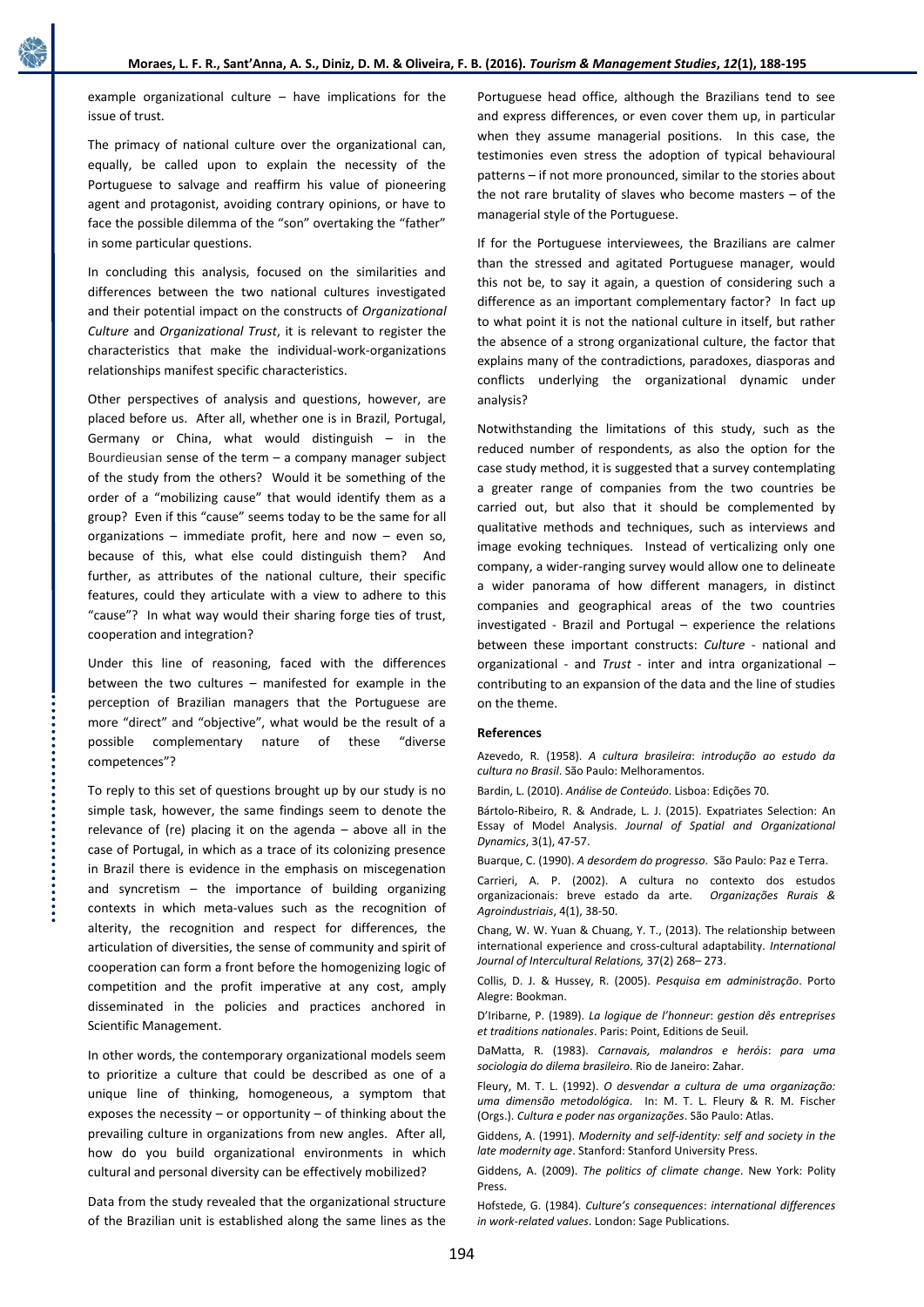example organizational culture – have implications for the issue of trust.

The primacy of national culture over the organizational can, equally, be called upon to explain the necessity of the Portuguese to salvage and reaffirm his value of pioneering agent and protagonist, avoiding contrary opinions, or have to face the possible dilemma of the "son" overtaking the "father" in some particular questions.

In concluding this analysis, focused on the similarities and differences between the two national cultures investigated and their potential impact on the constructs of *Organizational Culture* and *Organizational Trust*, it is relevant to register the characteristics that make the individual-work-organizations relationships manifest specific characteristics.

Other perspectives of analysis and questions, however, are placed before us. After all, whether one is in Brazil, Portugal, Germany or China, what would distinguish – in the Bourdieusian sense of the term  $-$  a company manager subject of the study from the others? Would it be something of the order of a "mobilizing cause" that would identify them as a group? Even if this "cause" seems today to be the same for all organizations – immediate profit, here and now – even so, because of this, what else could distinguish them? And further, as attributes of the national culture, their specific features, could they articulate with a view to adhere to this "cause"? In what way would their sharing forge ties of trust, cooperation and integration?

Under this line of reasoning, faced with the differences between the two cultures – manifested for example in the perception of Brazilian managers that the Portuguese are more "direct" and "objective", what would be the result of a possible complementary nature of these "diverse competences"?

To reply to this set of questions brought up by our study is no simple task, however, the same findings seem to denote the relevance of (re) placing it on the agenda – above all in the case of Portugal, in which as a trace of its colonizing presence in Brazil there is evidence in the emphasis on miscegenation and syncretism  $-$  the importance of building organizing contexts in which meta-values such as the recognition of alterity, the recognition and respect for differences, the articulation of diversities, the sense of community and spirit of cooperation can form a front before the homogenizing logic of competition and the profit imperative at any cost, amply disseminated in the policies and practices anchored in Scientific Management.

In other words, the contemporary organizational models seem to prioritize a culture that could be described as one of a unique line of thinking, homogeneous, a symptom that exposes the necessity  $-$  or opportunity  $-$  of thinking about the prevailing culture in organizations from new angles. After all, how do you build organizational environments in which cultural and personal diversity can be effectively mobilized?

Data from the study revealed that the organizational structure of the Brazilian unit is established along the same lines as the Portuguese head office, although the Brazilians tend to see and express differences, or even cover them up, in particular when they assume managerial positions. In this case, the testimonies even stress the adoption of typical behavioural patterns – if not more pronounced, similar to the stories about the not rare brutality of slaves who become masters – of the managerial style of the Portuguese.

If for the Portuguese interviewees, the Brazilians are calmer than the stressed and agitated Portuguese manager, would this not be, to say it again, a question of considering such a difference as an important complementary factor? In fact up to what point it is not the national culture in itself, but rather the absence of a strong organizational culture, the factor that explains many of the contradictions, paradoxes, diasporas and conflicts underlying the organizational dynamic under analysis?

Notwithstanding the limitations of this study, such as the reduced number of respondents, as also the option for the case study method, it is suggested that a survey contemplating a greater range of companies from the two countries be carried out, but also that it should be complemented by qualitative methods and techniques, such as interviews and image evoking techniques. Instead of verticalizing only one company, a wider-ranging survey would allow one to delineate a wider panorama of how different managers, in distinct companies and geographical areas of the two countries investigated - Brazil and Portugal – experience the relations between these important constructs: *Culture* - national and organizational - and *Trust* - inter and intra organizational – contributing to an expansion of the data and the line of studies on the theme.

## **References**

Azevedo, R. (1958). *A cultura brasileira*: *introdução ao estudo da cultura no Brasil*. São Paulo: Melhoramentos.

Bardin, L. (2010). *Análise de Conteúdo*. Lisboa: Edições 70.

Bártolo-Ribeiro, R. & Andrade, L. J. (2015). Expatriates Selection: An Essay of Model Analysis. *Journal of Spatial and Organizational Dynamics*, 3(1), 47-57.

Buarque, C. (1990). *A desordem do progresso*. São Paulo: Paz e Terra.

Carrieri, A. P. (2002). A cultura no contexto dos estudos organizacionais: breve estado da arte. *Organizações Rurais & Agroindustriais*, 4(1), 38-50.

Chang, W. W. Yuan & Chuang, Y. T., (2013). The relationship between international experience and cross-cultural adaptability. *International Journal of Intercultural Relations,* 37(2) 268– 273.

Collis, D. J. & Hussey, R. (2005). *Pesquisa em administração*. Porto Alegre: Bookman.

D'Iribarne, P. (1989). *La logique de l'honneur*: *gestion dês entreprises et traditions nationales*. Paris: Point, Editions de Seuil.

DaMatta, R. (1983). *Carnavais, malandros e heróis*: *para uma sociologia do dilema brasileiro*. Rio de Janeiro: Zahar.

Fleury, M. T. L. (1992). *O desvendar a cultura de uma organização: uma dimensão metodológica*. In: M. T. L. Fleury & R. M. Fischer (Orgs.). *Cultura e poder nas organizações*. São Paulo: Atlas.

Giddens, A. (1991). *Modernity and self-identity: self and society in the late modernity age*. Stanford: Stanford University Press.

Giddens, A. (2009). *The politics of climate change*. New York: Polity Press.

Hofstede, G. (1984). *Culture's consequences*: *international differences in work-related values*. London: Sage Publications.